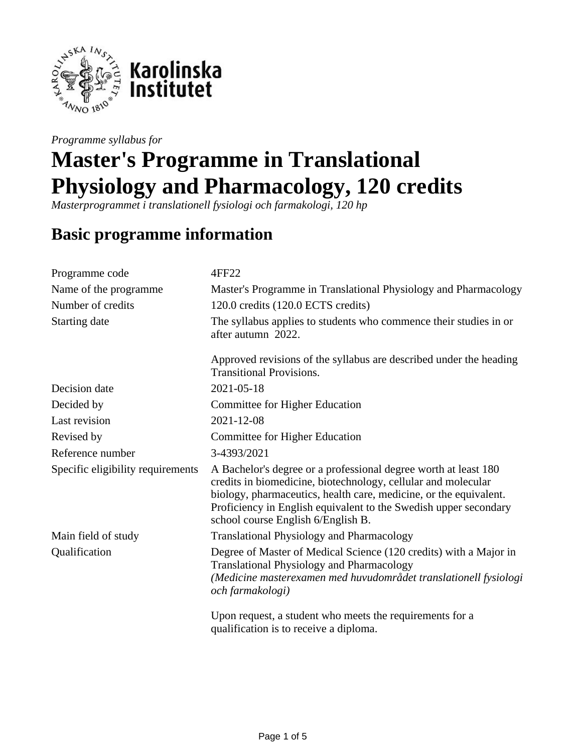

*Programme syllabus for*

# **Master's Programme in Translational Physiology and Pharmacology, 120 credits**

*Masterprogrammet i translationell fysiologi och farmakologi, 120 hp*

# **Basic programme information**

| Programme code                    | 4FF22                                                                                                                                                                                                                                                                                                           |  |  |
|-----------------------------------|-----------------------------------------------------------------------------------------------------------------------------------------------------------------------------------------------------------------------------------------------------------------------------------------------------------------|--|--|
| Name of the programme             | Master's Programme in Translational Physiology and Pharmacology                                                                                                                                                                                                                                                 |  |  |
| Number of credits                 | 120.0 credits (120.0 ECTS credits)                                                                                                                                                                                                                                                                              |  |  |
| Starting date                     | The syllabus applies to students who commence their studies in or<br>after autumn 2022.                                                                                                                                                                                                                         |  |  |
|                                   | Approved revisions of the syllabus are described under the heading<br><b>Transitional Provisions.</b>                                                                                                                                                                                                           |  |  |
| Decision date                     | 2021-05-18                                                                                                                                                                                                                                                                                                      |  |  |
| Decided by                        | Committee for Higher Education                                                                                                                                                                                                                                                                                  |  |  |
| Last revision                     | 2021-12-08                                                                                                                                                                                                                                                                                                      |  |  |
| Revised by                        | Committee for Higher Education                                                                                                                                                                                                                                                                                  |  |  |
| Reference number                  | 3-4393/2021                                                                                                                                                                                                                                                                                                     |  |  |
| Specific eligibility requirements | A Bachelor's degree or a professional degree worth at least 180<br>credits in biomedicine, biotechnology, cellular and molecular<br>biology, pharmaceutics, health care, medicine, or the equivalent.<br>Proficiency in English equivalent to the Swedish upper secondary<br>school course English 6/English B. |  |  |
| Main field of study               | <b>Translational Physiology and Pharmacology</b>                                                                                                                                                                                                                                                                |  |  |
| Qualification                     | Degree of Master of Medical Science (120 credits) with a Major in<br><b>Translational Physiology and Pharmacology</b><br>(Medicine masterexamen med huvudområdet translationell fysiologi<br>och farmakologi)                                                                                                   |  |  |
|                                   | Upon request, a student who meets the requirements for a<br>qualification is to receive a diploma.                                                                                                                                                                                                              |  |  |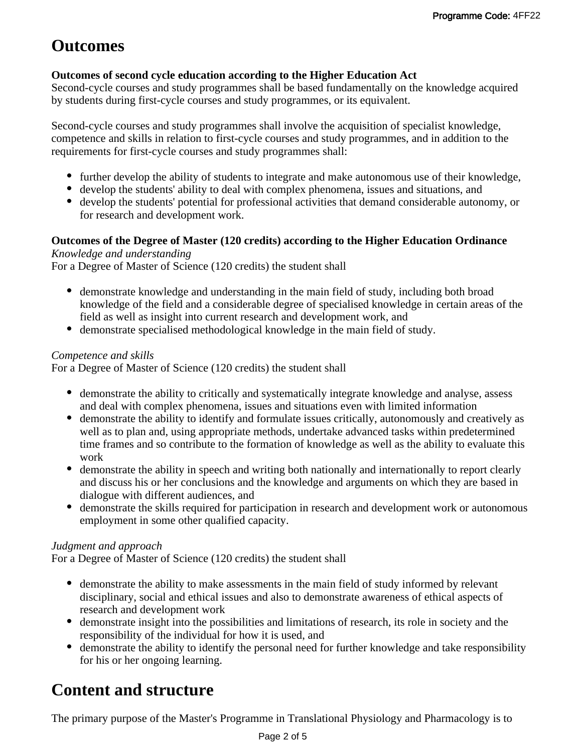# **Outcomes**

### **Outcomes of second cycle education according to the Higher Education Act**

Second-cycle courses and study programmes shall be based fundamentally on the knowledge acquired by students during first-cycle courses and study programmes, or its equivalent.

Second-cycle courses and study programmes shall involve the acquisition of specialist knowledge, competence and skills in relation to first-cycle courses and study programmes, and in addition to the requirements for first-cycle courses and study programmes shall:

- further develop the ability of students to integrate and make autonomous use of their knowledge,
- develop the students' ability to deal with complex phenomena, issues and situations, and
- develop the students' potential for professional activities that demand considerable autonomy, or for research and development work.

### **Outcomes of the Degree of Master (120 credits) according to the Higher Education Ordinance**

### *Knowledge and understanding*

For a Degree of Master of Science (120 credits) the student shall

- demonstrate knowledge and understanding in the main field of study, including both broad knowledge of the field and a considerable degree of specialised knowledge in certain areas of the field as well as insight into current research and development work, and
- demonstrate specialised methodological knowledge in the main field of study.

### *Competence and skills*

For a Degree of Master of Science (120 credits) the student shall

- demonstrate the ability to critically and systematically integrate knowledge and analyse, assess and deal with complex phenomena, issues and situations even with limited information
- demonstrate the ability to identify and formulate issues critically, autonomously and creatively as well as to plan and, using appropriate methods, undertake advanced tasks within predetermined time frames and so contribute to the formation of knowledge as well as the ability to evaluate this work
- demonstrate the ability in speech and writing both nationally and internationally to report clearly and discuss his or her conclusions and the knowledge and arguments on which they are based in dialogue with different audiences, and
- demonstrate the skills required for participation in research and development work or autonomous employment in some other qualified capacity.

### *Judgment and approach*

For a Degree of Master of Science (120 credits) the student shall

- demonstrate the ability to make assessments in the main field of study informed by relevant disciplinary, social and ethical issues and also to demonstrate awareness of ethical aspects of research and development work
- demonstrate insight into the possibilities and limitations of research, its role in society and the responsibility of the individual for how it is used, and
- demonstrate the ability to identify the personal need for further knowledge and take responsibility for his or her ongoing learning.

# **Content and structure**

The primary purpose of the Master's Programme in Translational Physiology and Pharmacology is to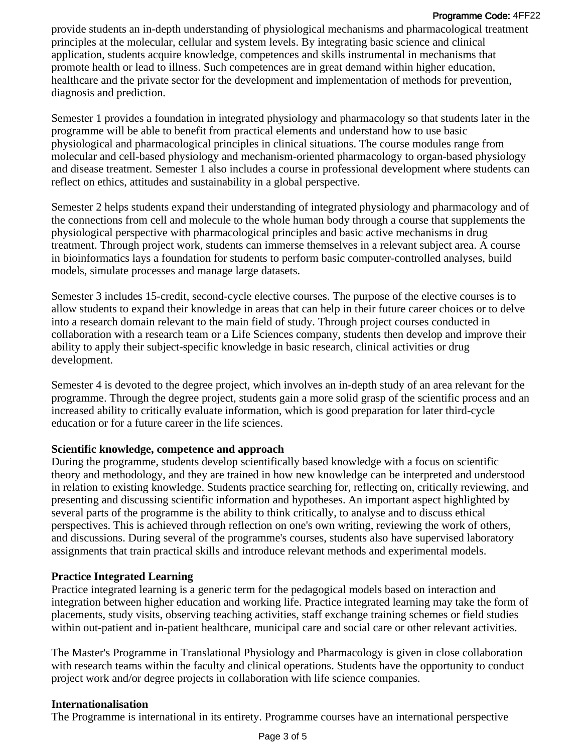#### Programme Code: 4FF22

provide students an in-depth understanding of physiological mechanisms and pharmacological treatment principles at the molecular, cellular and system levels. By integrating basic science and clinical application, students acquire knowledge, competences and skills instrumental in mechanisms that promote health or lead to illness. Such competences are in great demand within higher education, healthcare and the private sector for the development and implementation of methods for prevention, diagnosis and prediction.

Semester 1 provides a foundation in integrated physiology and pharmacology so that students later in the programme will be able to benefit from practical elements and understand how to use basic physiological and pharmacological principles in clinical situations. The course modules range from molecular and cell-based physiology and mechanism-oriented pharmacology to organ-based physiology and disease treatment. Semester 1 also includes a course in professional development where students can reflect on ethics, attitudes and sustainability in a global perspective.

Semester 2 helps students expand their understanding of integrated physiology and pharmacology and of the connections from cell and molecule to the whole human body through a course that supplements the physiological perspective with pharmacological principles and basic active mechanisms in drug treatment. Through project work, students can immerse themselves in a relevant subject area. A course in bioinformatics lays a foundation for students to perform basic computer-controlled analyses, build models, simulate processes and manage large datasets.

Semester 3 includes 15-credit, second-cycle elective courses. The purpose of the elective courses is to allow students to expand their knowledge in areas that can help in their future career choices or to delve into a research domain relevant to the main field of study. Through project courses conducted in collaboration with a research team or a Life Sciences company, students then develop and improve their ability to apply their subject-specific knowledge in basic research, clinical activities or drug development.

Semester 4 is devoted to the degree project, which involves an in-depth study of an area relevant for the programme. Through the degree project, students gain a more solid grasp of the scientific process and an increased ability to critically evaluate information, which is good preparation for later third-cycle education or for a future career in the life sciences.

#### **Scientific knowledge, competence and approach**

During the programme, students develop scientifically based knowledge with a focus on scientific theory and methodology, and they are trained in how new knowledge can be interpreted and understood in relation to existing knowledge. Students practice searching for, reflecting on, critically reviewing, and presenting and discussing scientific information and hypotheses. An important aspect highlighted by several parts of the programme is the ability to think critically, to analyse and to discuss ethical perspectives. This is achieved through reflection on one's own writing, reviewing the work of others, and discussions. During several of the programme's courses, students also have supervised laboratory assignments that train practical skills and introduce relevant methods and experimental models.

#### **Practice Integrated Learning**

Practice integrated learning is a generic term for the pedagogical models based on interaction and integration between higher education and working life. Practice integrated learning may take the form of placements, study visits, observing teaching activities, staff exchange training schemes or field studies within out-patient and in-patient healthcare, municipal care and social care or other relevant activities.

The Master's Programme in Translational Physiology and Pharmacology is given in close collaboration with research teams within the faculty and clinical operations. Students have the opportunity to conduct project work and/or degree projects in collaboration with life science companies.

#### **Internationalisation**

The Programme is international in its entirety. Programme courses have an international perspective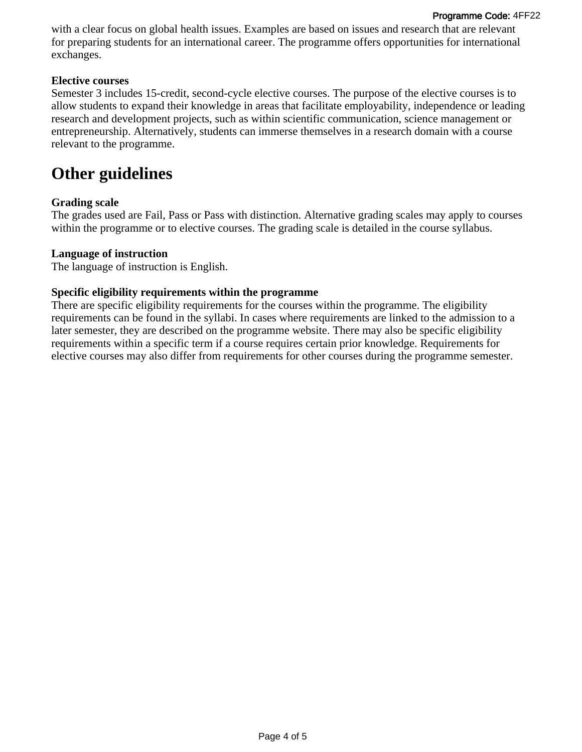with a clear focus on global health issues. Examples are based on issues and research that are relevant for preparing students for an international career. The programme offers opportunities for international exchanges.

#### **Elective courses**

Semester 3 includes 15-credit, second-cycle elective courses. The purpose of the elective courses is to allow students to expand their knowledge in areas that facilitate employability, independence or leading research and development projects, such as within scientific communication, science management or entrepreneurship. Alternatively, students can immerse themselves in a research domain with a course relevant to the programme.

## **Other guidelines**

#### **Grading scale**

The grades used are Fail, Pass or Pass with distinction. Alternative grading scales may apply to courses within the programme or to elective courses. The grading scale is detailed in the course syllabus.

#### **Language of instruction**

The language of instruction is English.

#### **Specific eligibility requirements within the programme**

There are specific eligibility requirements for the courses within the programme. The eligibility requirements can be found in the syllabi. In cases where requirements are linked to the admission to a later semester, they are described on the programme website. There may also be specific eligibility requirements within a specific term if a course requires certain prior knowledge. Requirements for elective courses may also differ from requirements for other courses during the programme semester.